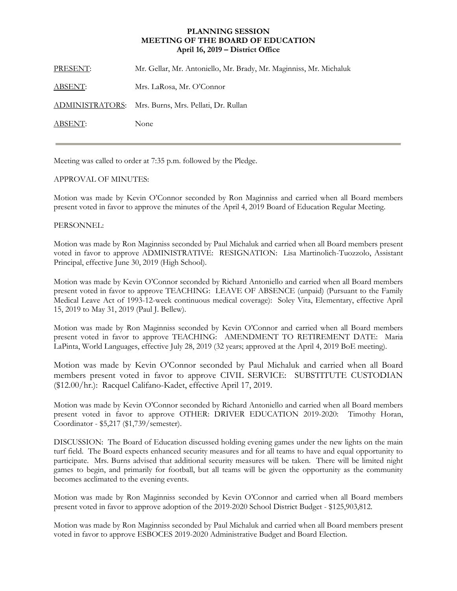## **PLANNING SESSION MEETING OF THE BOARD OF EDUCATION April 16, 2019 – District Office**

PRESENT: Mr. Gellar, Mr. Antoniello, Mr. Brady, Mr. Maginniss, Mr. Michaluk ABSENT: Mrs. LaRosa, Mr. O'Connor ADMINISTRATORS: Mrs. Burns, Mrs. Pellati, Dr. Rullan ABSENT: None

Meeting was called to order at 7:35 p.m. followed by the Pledge.

## APPROVAL OF MINUTES:

Motion was made by Kevin O'Connor seconded by Ron Maginniss and carried when all Board members present voted in favor to approve the minutes of the April 4, 2019 Board of Education Regular Meeting.

## PERSONNEL:

Motion was made by Ron Maginniss seconded by Paul Michaluk and carried when all Board members present voted in favor to approve ADMINISTRATIVE: RESIGNATION: Lisa Martinolich-Tuozzolo, Assistant Principal, effective June 30, 2019 (High School).

Motion was made by Kevin O'Connor seconded by Richard Antoniello and carried when all Board members present voted in favor to approve TEACHING: LEAVE OF ABSENCE (unpaid) (Pursuant to the Family Medical Leave Act of 1993-12-week continuous medical coverage): Soley Vita, Elementary, effective April 15, 2019 to May 31, 2019 (Paul J. Bellew).

Motion was made by Ron Maginniss seconded by Kevin O'Connor and carried when all Board members present voted in favor to approve TEACHING: AMENDMENT TO RETIREMENT DATE: Maria LaPinta, World Languages, effective July 28, 2019 (32 years; approved at the April 4, 2019 BoE meeting).

Motion was made by Kevin O'Connor seconded by Paul Michaluk and carried when all Board members present voted in favor to approve CIVIL SERVICE: SUBSTITUTE CUSTODIAN (\$12.00/hr.): Racquel Califano-Kadet, effective April 17, 2019.

Motion was made by Kevin O'Connor seconded by Richard Antoniello and carried when all Board members present voted in favor to approve OTHER: DRIVER EDUCATION 2019-2020: Timothy Horan, Coordinator - \$5,217 (\$1,739/semester).

DISCUSSION: The Board of Education discussed holding evening games under the new lights on the main turf field. The Board expects enhanced security measures and for all teams to have and equal opportunity to participate. Mrs. Burns advised that additional security measures will be taken. There will be limited night games to begin, and primarily for football, but all teams will be given the opportunity as the community becomes acclimated to the evening events.

Motion was made by Ron Maginniss seconded by Kevin O'Connor and carried when all Board members present voted in favor to approve adoption of the 2019-2020 School District Budget - \$125,903,812.

Motion was made by Ron Maginniss seconded by Paul Michaluk and carried when all Board members present voted in favor to approve ESBOCES 2019-2020 Administrative Budget and Board Election.